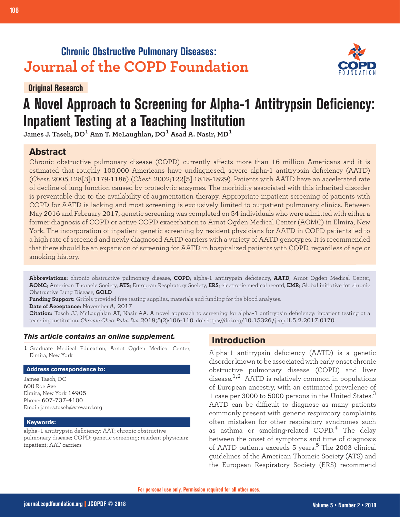# **Chronic Obstructive Pulmonary Diseases: Journal of the COPD Foundation**

**Original Research**



# **A Novel Approach to Screening for Alpha-1 Antitrypsin Deficiency: Inpatient Testing at a Teaching Institution**

**James J. Tasch, DO1 Ann T. McLaughlan, DO1 Asad A. Nasir, MD<sup>1</sup>**

## **Abstract**

Chronic obstructive pulmonary disease (COPD) currently affects more than 16 million Americans and it is estimated that roughly 100,000 Americans have undiagnosed, severe alpha-1 antitrypsin deficiency (AATD) (*Chest*. 2005;128[3]:1179-1186) (*Chest*. 2002;122[5]:1818-1829). Patients with AATD have an accelerated rate of decline of lung function caused by proteolytic enzymes. The morbidity associated with this inherited disorder is preventable due to the availability of augmentation therapy. Appropriate inpatient screening of patients with COPD for AATD is lacking and most screening is exclusively limited to outpatient pulmonary clinics. Between May 2016 and February 2017, genetic screening was completed on 54 individuals who were admitted with either a former diagnosis of COPD or active COPD exacerbation to Arnot Ogden Medical Center (AOMC) in Elmira, New York. The incorporation of inpatient genetic screening by resident physicians for AATD in COPD patients led to a high rate of screened and newly diagnosed AATD carriers with a variety of AATD genotypes. It is recommended that there should be an expansion of screening for AATD in hospitalized patients with COPD, regardless of age or smoking history.

**Abbreviations:** chronic obstructive pulmonary disease, **COPD**; alpha-1 antitrypsin deficiency, **AATD**; Arnot Ogden Medical Center, **AOMC**; American Thoracic Society, **ATS**; European Respiratory Society, **ERS**; electronic medical record, **EMR**; Global initiative for chronic Obstructive Lung Disease, **GOLD**

**Funding Support:** Grifols provided free testing supplies, materials and funding for the blood analyses.

**Date of Acceptance:** November 8, 2017

**Citation:** Tasch JJ, McLaughlan AT, Nasir AA. A novel approach to screening for alpha-1 antitrypsin deficiency: inpatient testing at a teaching institution. *Chronic Obstr Pulm Dis*. 2018;5(2):106-110. doi: https://doi.org/10.15326/jcopdf.5.2.2017.0170

#### *This article contains an online supplement.*

1 Graduate Medical Education, Arnot Ogden Medical Center, Elmira, New York

#### **Address correspondence to:**

James Tasch, DO 600 Roe Ave Elmira, New York 14905 Phone: 607-737-4100 Email: james.tasch@steward.org

#### **Keywords:**

alpha-1 antitrypsin deficiency; AAT; chronic obstructive pulmonary disease; COPD; genetic screening; resident physician; inpatient; AAT carriers

## **Introduction**

Alpha-1 antitrypsin deficiency (AATD) is a genetic disorder known to be associated with early onset chronic obstructive pulmonary disease (COPD) and liver disease.<sup>1,2</sup> AATD is relatively common in populations of European ancestry, with an estimated prevalence of 1 case per 3000 to 5000 persons in the United States. $3$ AATD can be difficult to diagnose as many patients commonly present with generic respiratory complaints often mistaken for other respiratory syndromes such as asthma or smoking-related COPD.<sup>4</sup> The delay between the onset of symptoms and time of diagnosis of AATD patients exceeds 5 years.<sup>5</sup> The 2003 clinical guidelines of the American Thoracic Society (ATS) and the European Respiratory Society (ERS) recommend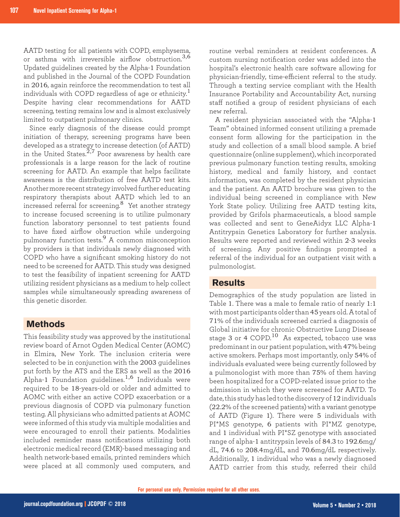AATD testing for all patients with COPD, emphysema, or asthma with irreversible airflow obstruction.<sup>3,6</sup> Updated guidelines created by the Alpha-1 Foundation and published in the Journal of the COPD Foundation in 2016, again reinforce the recommendation to test all individuals with COPD regardless of age or ethnicity.<sup>1</sup> Despite having clear recommendations for AATD screening, testing remains low and is almost exclusively limited to outpatient pulmonary clinics.

Since early diagnosis of the disease could prompt initiation of therapy, screening programs have been developed as a strategy to increase detection (of AATD) in the United States.<sup>2,7</sup> Poor awareness by health care professionals is a large reason for the lack of routine screening for AATD. An example that helps facilitate awareness is the distribution of free AATD test kits. Another more recent strategy involved further educating respiratory therapists about AATD which led to an increased referral for screening.<sup>8</sup> Yet another strategy to increase focused screening is to utilize pulmonary function laboratory personnel to test patients found to have fixed airflow obstruction while undergoing pulmonary function tests.9 A common misconception by providers is that individuals newly diagnosed with COPD who have a significant smoking history do not need to be screened for AATD. This study was designed to test the feasibility of inpatient screening for AATD utilizing resident physicians as a medium to help collect samples while simultaneously spreading awareness of this genetic disorder.

#### **Methods**

This feasibility study was approved by the institutional review board of Arnot Ogden Medical Center (AOMC) in Elmira, New York. The inclusion criteria were selected to be in conjunction with the 2003 guidelines put forth by the ATS and the ERS as well as the 2016 Alpha-1 Foundation guidelines.<sup>1,6</sup> Individuals were required to be 18-years-old or older and admitted to AOMC with either an active COPD exacerbation or a previous diagnosis of COPD via pulmonary function testing. All physicians who admitted patients at AOMC were informed of this study via multiple modalities and were encouraged to enroll their patients. Modalities included reminder mass notifications utilizing both electronic medical record (EMR)-based messaging and health network-based emails, printed reminders which were placed at all commonly used computers, and

routine verbal reminders at resident conferences. A custom nursing notification order was added into the hospital's electronic health care software allowing for physician-friendly, time-efficient referral to the study. Through a texting service compliant with the Health Insurance Portability and Accountability Act, nursing staff notified a group of resident physicians of each new referral.

A resident physician associated with the "Alpha-1 Team" obtained informed consent utilizing a premade consent form allowing for the participation in the study and collection of a small blood sample. A brief questionnaire (online supplement), which incorporated previous pulmonary function testing results, smoking history, medical and family history, and contact information, was completed by the resident physician and the patient. An AATD brochure was given to the individual being screened in compliance with New York State policy. Utilizing free AATD testing kits, provided by Grifols pharmaceuticals, a blood sample was collected and sent to GeneAidyx LLC Alpha-1 Antitrypsin Genetics Laboratory for further analysis. Results were reported and reviewed within 2-3 weeks of screening. Any positive findings prompted a referral of the individual for an outpatient visit with a pulmonologist.

#### **Results**

Demographics of the study population are listed in Table 1. There was a male to female ratio of nearly 1:1 with most participants older than 45 years old. A total of 71% of the individuals screened carried a diagnosis of Global initiative for chronic Obstructive Lung Disease stage 3 or 4 COPD.<sup>10</sup> As expected, tobacco use was predominant in our patient population, with 47% being active smokers. Perhaps most importantly, only 54% of individuals evaluated were being currently followed by a pulmonologist with more than 75% of them having been hospitalized for a COPD-related issue prior to the admission in which they were screened for AATD. To date, this study has led to the discovery of 12 individuals (22.2% of the screened patients) with a variant genotype of AATD (Figure 1). There were 5 individuals with PI\*MS genotype, 6 patients with PI\*MZ genotype, and 1 individual with PI\*SZ genotype with associated range of alpha-1 antitrypsin levels of 84.3 to 192.6mg/ dL, 74.6 to 208.4mg/dL, and 70.6mg/dL respectively. Additionally, 1 individual who was a newly diagnosed AATD carrier from this study, referred their child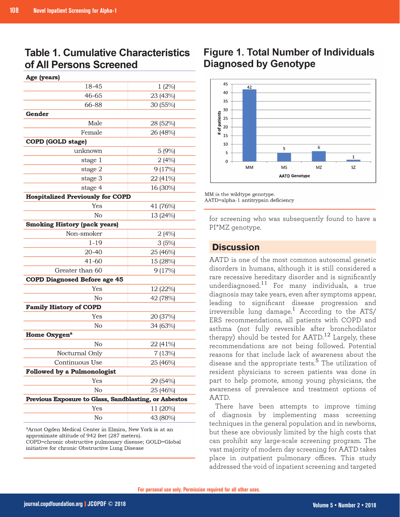# **Table 1. Cumulative Characteristics** of All Persons Screened

| Age (years)                                           |          |
|-------------------------------------------------------|----------|
| 18-45                                                 | 1(2%)    |
| 46-65                                                 | 23 (43%) |
| 66-88                                                 | 30 (55%) |
| Gender                                                |          |
| Male                                                  | 28 (52%) |
| Female                                                | 26 (48%) |
| <b>COPD</b> (GOLD stage)                              |          |
| unknown                                               | 5(9%)    |
| stage 1                                               | 2(4%)    |
| stage 2                                               | 9(17%)   |
| stage 3                                               | 22 (41%) |
| stage 4                                               | 16 (30%) |
| <b>Hospitalized Previously for COPD</b>               |          |
| Yes                                                   | 41 (76%) |
| No                                                    | 13 (24%) |
| <b>Smoking History (pack years)</b>                   |          |
| Non-smoker                                            | 2(4%)    |
| $1 - 19$                                              | 3(5%)    |
| 20-40                                                 | 25 (46%) |
| $41 - 60$                                             | 15 (28%) |
| Greater than 60                                       | 9(17%)   |
| <b>COPD Diagnosed Before age 45</b>                   |          |
| Yes                                                   | 12 (22%) |
| No                                                    | 42 (78%) |
| <b>Family History of COPD</b>                         |          |
| Yes                                                   | 20 (37%) |
| No                                                    | 34 (63%) |
| Home Oxygen <sup>a</sup>                              |          |
| No                                                    | 22 (41%) |
| Nocturnal Only                                        | 7(13%)   |
| Continuous Use                                        | 25 (46%) |
| <b>Followed by a Pulmonologist</b>                    |          |
| Yes                                                   | 29 (54%) |
| No                                                    | 25 (46%) |
| Previous Exposure to Glass, Sandblasting, or Asbestos |          |
| Yes                                                   | 11 (20%) |
| No                                                    | 43 (80%) |
|                                                       |          |

<sup>a</sup>Arnot Ogden Medical Center in Elmira, New York is at an approximate altitude of 942 feet (287 meters). COPD=chronic obstructive pulmonary disease; GOLD=Global initiative for chronic Obstructive Lung Disease

# **Figure 1. Total Number of Individuals Diagnosed by Genotype**



MM is the wildtype genotype. AATD=alpha-1 antitrypsin deficiency

for screening who was subsequently found to have a PI\*MZ genotype.

## **Discussion**

AATD is one of the most common autosomal genetic disorders in humans, although it is still considered a rare recessive hereditary disorder and is significantly underdiagnosed.11 For many individuals, a true diagnosis may take years, even after symptoms appear, leading to significant disease progression and irreversible lung damage.<sup>1</sup> According to the ATS/ ERS recommendations, all patients with COPD and asthma (not fully reversible after bronchodilator therapy) should be tested for  $\text{AATD}$ ,  $^{12}$  Largely, these recommendations are not being followed. Potential reasons for that include lack of awareness about the disease and the appropriate tests.<sup>5</sup> The utilization of resident physicians to screen patients was done in part to help promote, among young physicians, the awareness of prevalence and treatment options of AATD.

There have been attempts to improve timing of diagnosis by implementing mass screening techniques in the general population and in newborns, but these are obviously limited by the high costs that can prohibit any large-scale screening program. The vast majority of modern day screening for AATD takes place in outpatient pulmonary offices. This study addressed the void of inpatient screening and targeted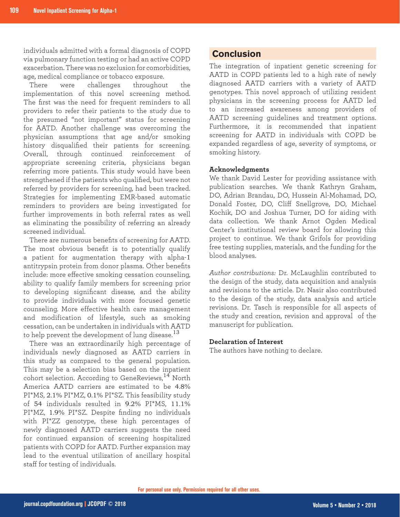individuals admitted with a formal diagnosis of COPD via pulmonary function testing or had an active COPD exacerbation. There was no exclusion for comorbidities, age, medical compliance or tobacco exposure.

There were challenges throughout the implementation of this novel screening method. The first was the need for frequent reminders to all providers to refer their patients to the study due to the presumed "not important" status for screening for AATD. Another challenge was overcoming the physician assumptions that age and/or smoking history disqualified their patients for screening. Overall, through continued reinforcement of appropriate screening criteria, physicians began referring more patients. This study would have been strengthened if the patients who qualified, but were not referred by providers for screening, had been tracked. Strategies for implementing EMR-based automatic reminders to providers are being investigated for further improvements in both referral rates as well as eliminating the possibility of referring an already screened individual.

There are numerous benefits of screening for AATD. The most obvious benefit is to potentially qualify a patient for augmentation therapy with alpha-1 antitrypsin protein from donor plasma. Other benefits include: more effective smoking cessation counseling, ability to qualify family members for screening prior to developing significant disease, and the ability to provide individuals with more focused genetic counseling. More effective health care management and modification of lifestyle, such as smoking cessation, can be undertaken in individuals with AATD to help prevent the development of lung disease.<sup>13</sup>

There was an extraordinarily high percentage of individuals newly diagnosed as AATD carriers in this study as compared to the general population. This may be a selection bias based on the inpatient cohort selection. According to GeneReviews,<sup>14</sup> North America AATD carriers are estimated to be 4.8% PI\*MS, 2.1% PI\*MZ, 0.1% PI\*SZ. This feasibility study of 54 individuals resulted in 9.2% PI\*MS, 11.1% PI\*MZ, 1.9% PI\*SZ. Despite finding no individuals with PI\*ZZ genotype, these high percentages of newly diagnosed AATD carriers suggests the need for continued expansion of screening hospitalized patients with COPD for AATD. Further expansion may lead to the eventual utilization of ancillary hospital staff for testing of individuals.

## **Conclusion**

The integration of inpatient genetic screening for AATD in COPD patients led to a high rate of newly diagnosed AATD carriers with a variety of AATD genotypes. This novel approach of utilizing resident physicians in the screening process for AATD led to an increased awareness among providers of AATD screening guidelines and treatment options. Furthermore, it is recommended that inpatient screening for AATD in individuals with COPD be expanded regardless of age, severity of symptoms, or smoking history.

#### **Acknowledgments**

We thank David Lester for providing assistance with publication searches. We thank Kathryn Graham, DO, Adrian Brandau, DO, Hussein Al-Mohamad, DO, Donald Foster, DO, Cliff Snellgrove, DO, Michael Kochik, DO and Joshua Turner, DO for aiding with data collection. We thank Arnot Ogden Medical Center's institutional review board for allowing this project to continue. We thank Grifols for providing free testing supplies, materials, and the funding for the blood analyses.

*Author contributions:* Dr. McLaughlin contributed to the design of the study, data acquisition and analysis and revisions to the article. Dr. Nasir also contributed to the design of the study, data analysis and article revisions. Dr. Tasch is responsible for all aspects of the study and creation, revision and approval of the manuscript for publication.

#### **Declaration of Interest**

The authors have nothing to declare.